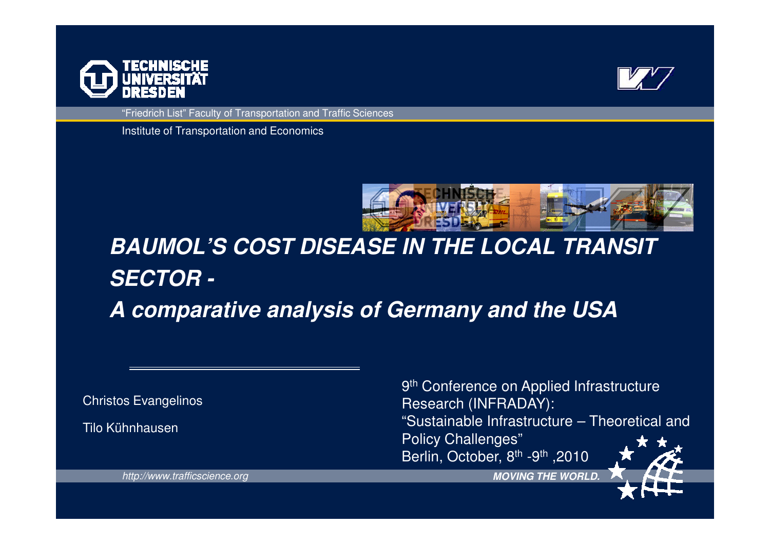



"Friedrich List" Faculty of Transportation and Traffic Sciences

Institute of Transportation and Economics



# **BAUMOL'S COST DISEASE IN THE LOCAL TRANSIT SECTOR -**

**A comparative analysis of Germany and the USA**

Christos Evangelinos

Tilo Kühnhausen

9<sup>th</sup> Conference on Applied Infrastructure Research (INFRADAY): "Sustainable Infrastructure – Theoretical and Policy Challenges"2010, Berlin, October, 8<sup>th</sup> -9<sup>th</sup> ,2010

http://www.trafficscience.org

**MOVING THE WORLD.**

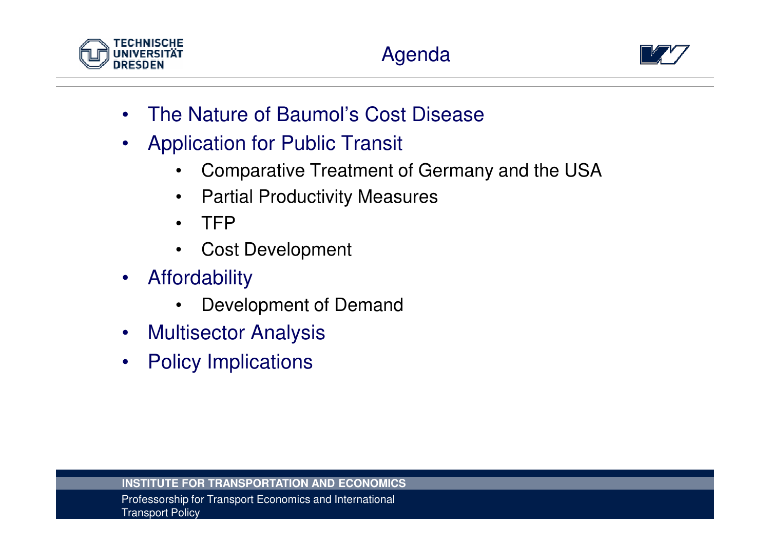

# Agenda



- •The Nature of Baumol's Cost Disease
- • Application for Public Transit
	- •Comparative Treatment of Germany and the USA
	- $\bullet$ Partial Productivity Measures
	- TFP
	- Cost Development
- $\bullet$  Affordability
	- $\bullet$ Development of Demand
- •Multisector Analysis
- $\bullet$ Policy Implications

**INSTITUTE FOR TRANSPORTATION AND ECONOMICS**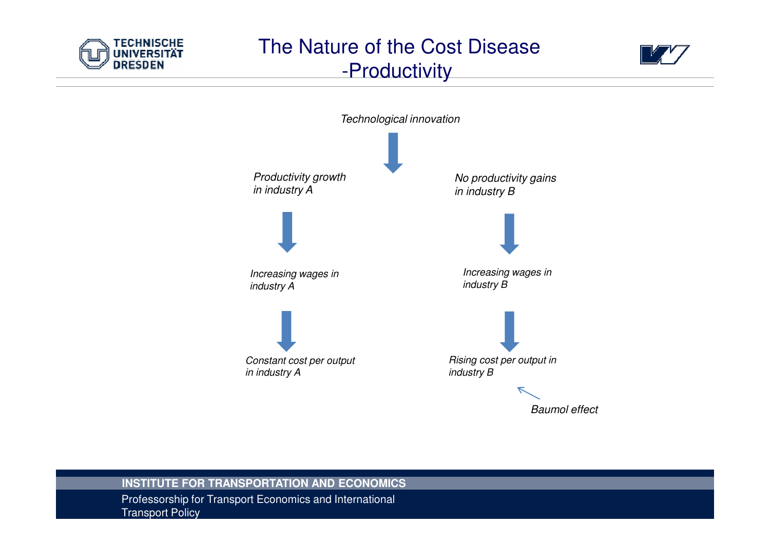

# The Nature of the Cost Disease -Productivity





### **INSTITUTE FOR TRANSPORTATION AND ECONOMICS**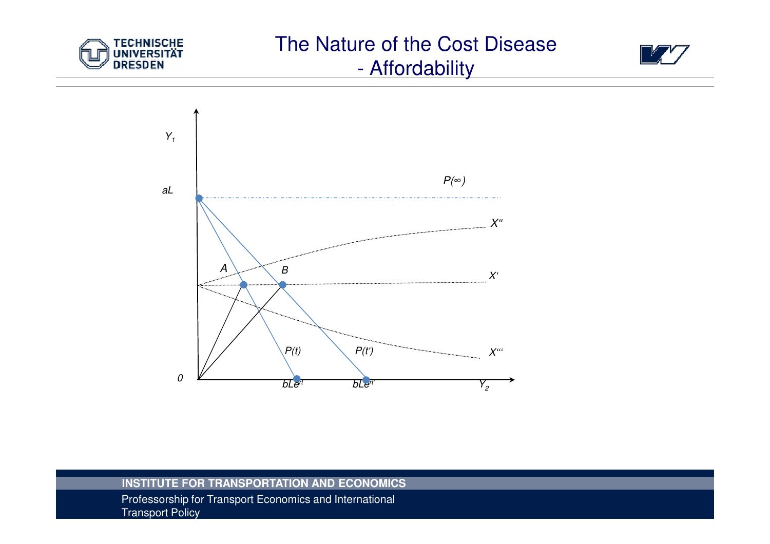

### The Nature of the Cost Disease -**Affordability**





### **INSTITUTE FOR TRANSPORTATION AND ECONOMICS**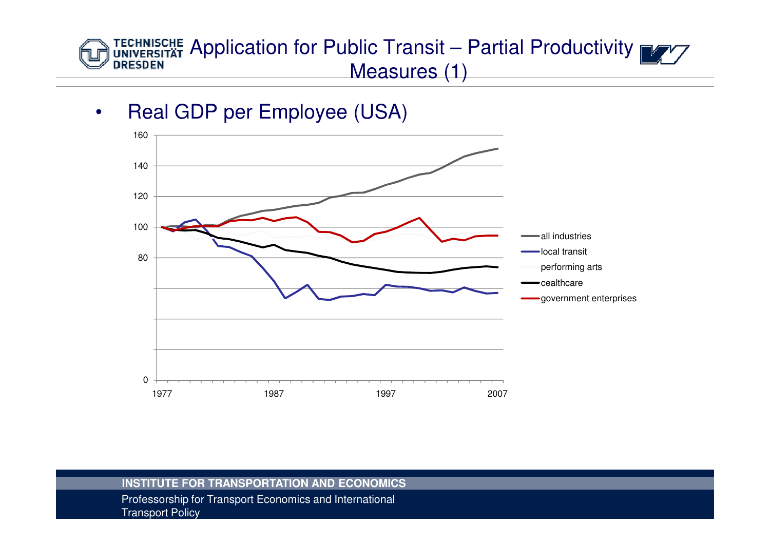### TECHNISCHE Application for Public Transit – Partial Productivity MAY **DRESDEN** Measures (1)

•Real GDP per Employee (USA)



### **INSTITUTE FOR TRANSPORTATION AND ECONOMICS**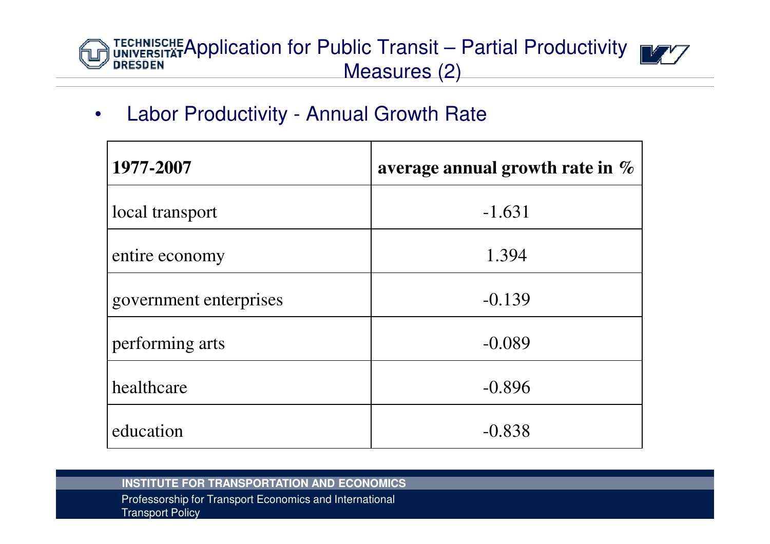# TECHNISCHE Application for Public Transit – Partial Productivity MAY Measures (2)

#### •Labor Productivity - Annual Growth Rate

| 1977-2007              | average annual growth rate in $\%$ |
|------------------------|------------------------------------|
| local transport        | $-1.631$                           |
| entire economy         | 1.394                              |
| government enterprises | $-0.139$                           |
| performing arts        | $-0.089$                           |
| healthcare             | $-0.896$                           |
| education              | $-0.838$                           |

### **INSTITUTE FOR TRANSPORTATION AND ECONOMICS**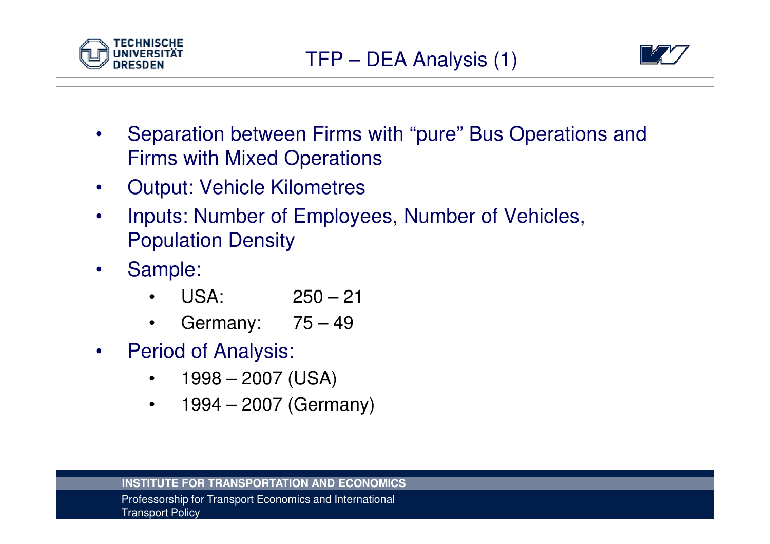



- $\bullet$  Separation between Firms with "pure" Bus Operations and Firms with Mixed Operations
- $\bullet$ Output: Vehicle Kilometres
- $\bullet$  Inputs: Number of Employees, Number of Vehicles, Population Density
- $\bullet$  Sample:
	- •USA: 250 – <sup>21</sup>
	- Germany: 75 49 $\bullet$
- $\bullet$  Period of Analysis:
	- $\bullet$ 1998 – 2007 (USA)
	- $\bullet$ 1994 – 2007 (Germany)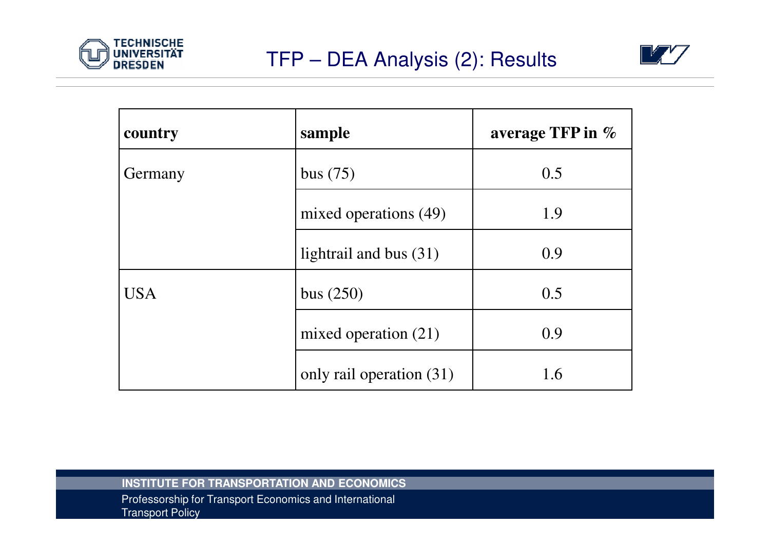



| country    | sample                   | average TFP in $%$ |
|------------|--------------------------|--------------------|
| Germany    | bus $(75)$               | 0.5                |
|            | mixed operations (49)    | 1.9                |
|            | lightrail and bus $(31)$ | 0.9                |
| <b>USA</b> | bus $(250)$              | 0.5                |
|            | mixed operation $(21)$   | 0.9                |
|            | only rail operation (31) | 1.6                |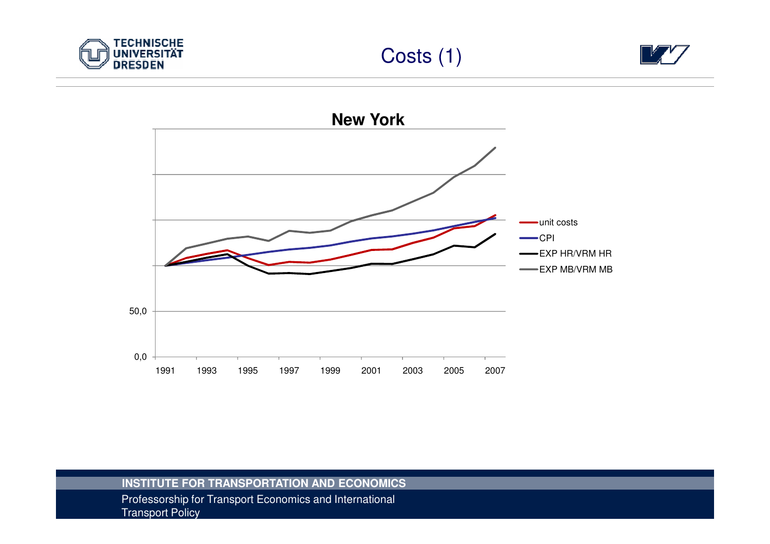





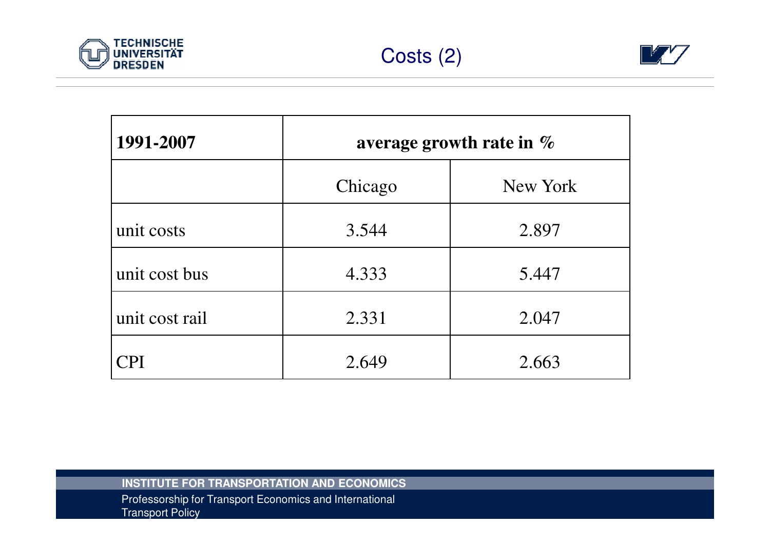



| 1991-2007      | average growth rate in $\%$ |          |
|----------------|-----------------------------|----------|
|                | Chicago                     | New York |
| unit costs     | 3.544                       | 2.897    |
| unit cost bus  | 4.333                       | 5.447    |
| unit cost rail | 2.331                       | 2.047    |
| CPI            | 2.649                       | 2.663    |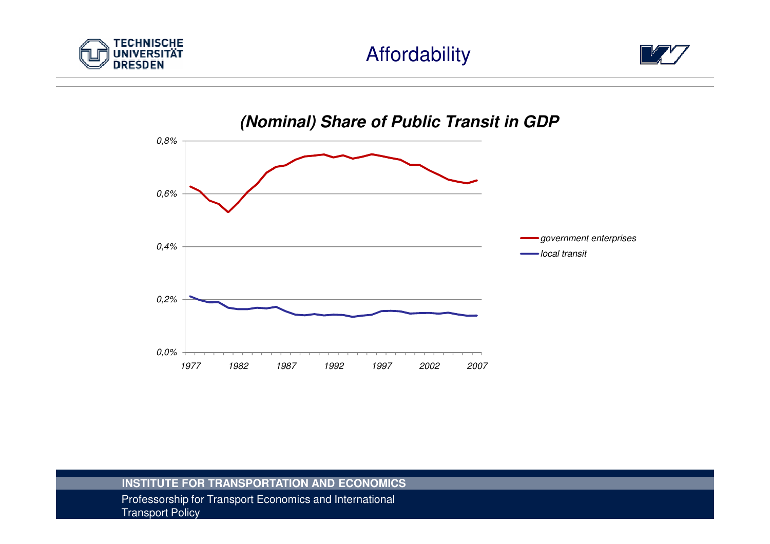

## Affordability





### **INSTITUTE FOR TRANSPORTATION AND ECONOMICS**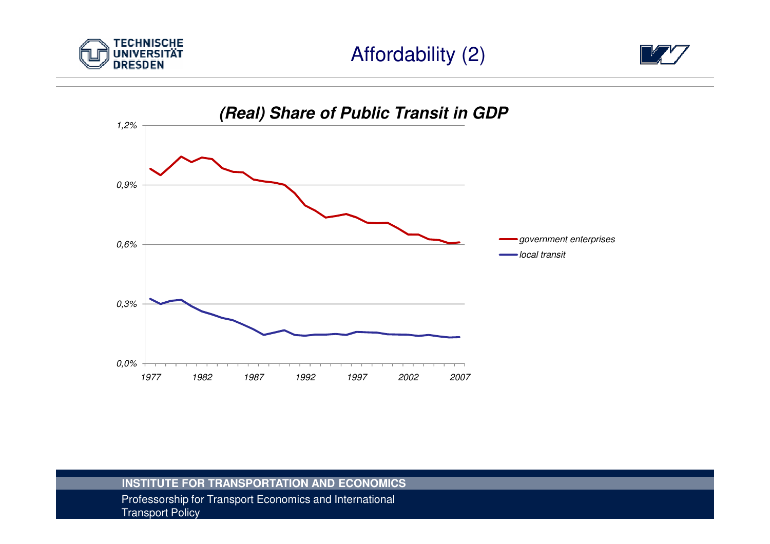



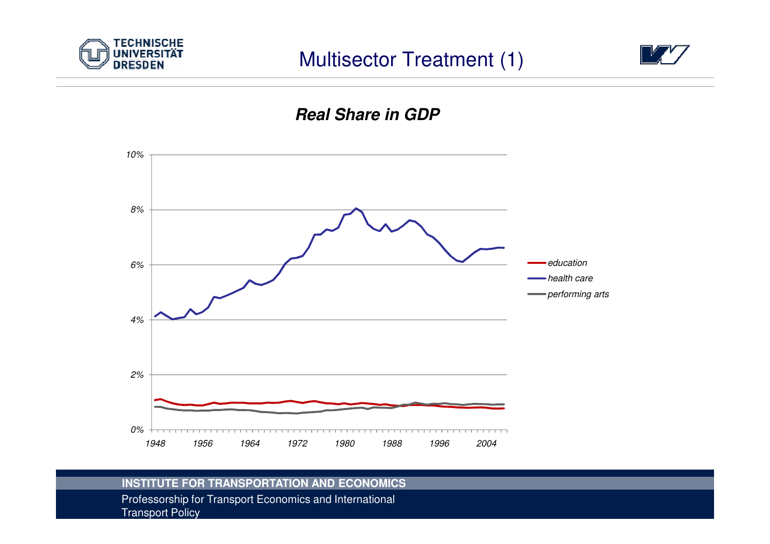





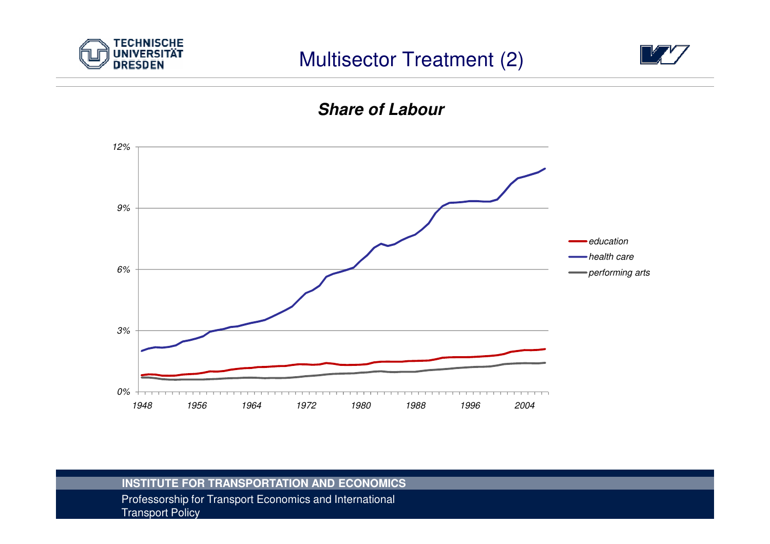





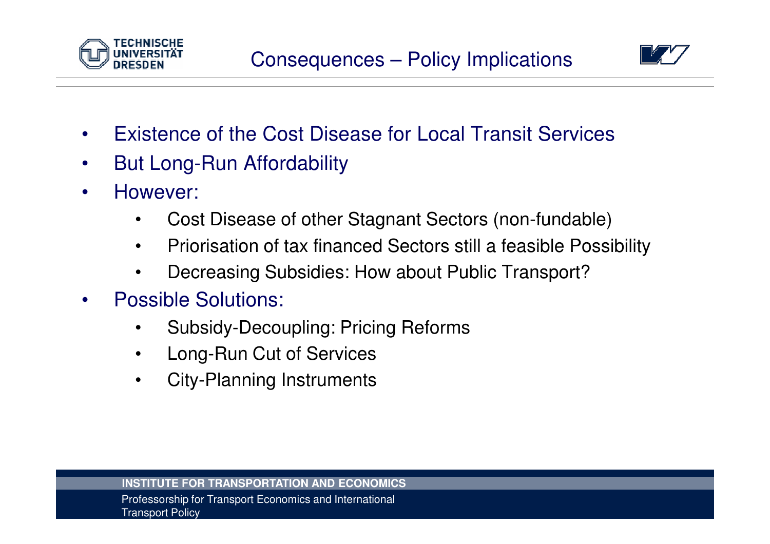



- •Existence of the Cost Disease for Local Transit Services
- •But Long-Run Affordability
- $\bullet$  However:
	- •Cost Disease of other Stagnant Sectors (non-fundable)
	- •Priorisation of tax financed Sectors still a feasible Possibility
	- •Decreasing Subsidies: How about Public Transport?
- • Possible Solutions:
	- •Subsidy-Decoupling: Pricing Reforms
	- $\bullet$ Long-Run Cut of Services
	- $\bullet$ City-Planning Instruments